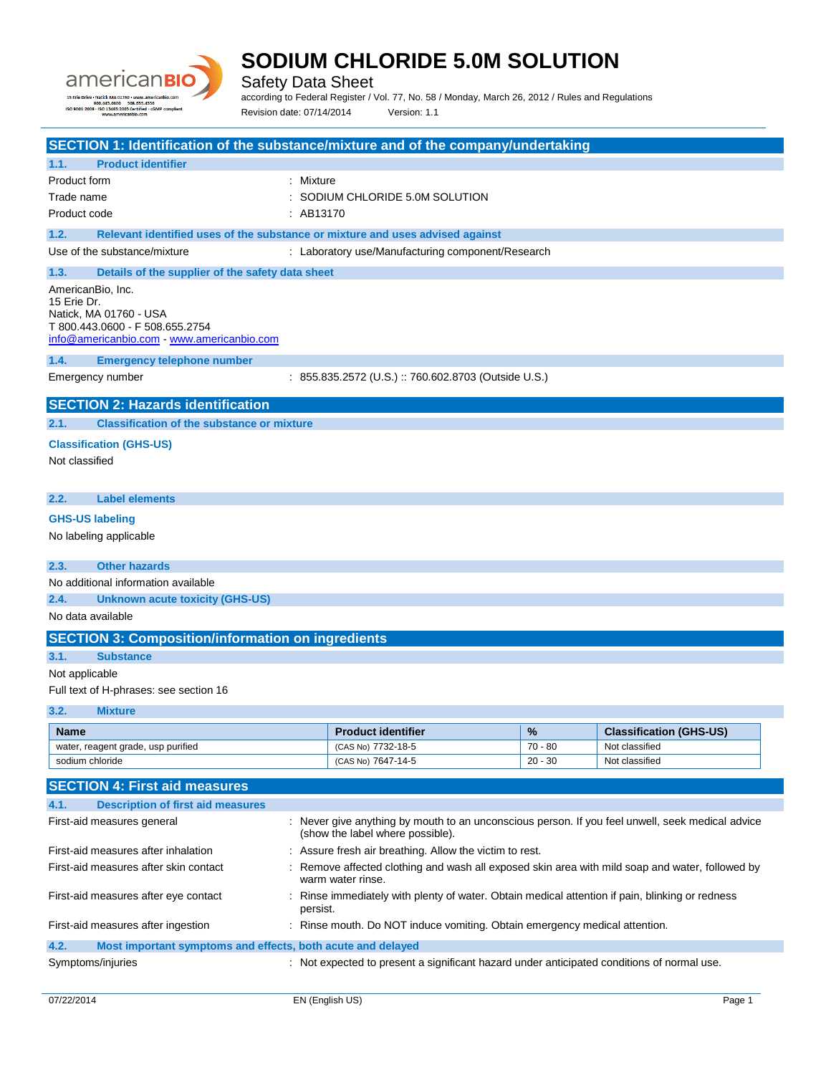

÷.

### **SODIUM CHLORIDE 5.0M SOLUTION**

Safety Data Sheet

according to Federal Register / Vol. 77, No. 58 / Monday, March 26, 2012 / Rules and Regulations Revision date: 07/14/2014 Version: 1.1

| SECTION 1: Identification of the substance/mixture and of the company/undertaking     |                   |                                                                                               |           |                                                                                                  |
|---------------------------------------------------------------------------------------|-------------------|-----------------------------------------------------------------------------------------------|-----------|--------------------------------------------------------------------------------------------------|
| <b>Product identifier</b><br>1.1.                                                     |                   |                                                                                               |           |                                                                                                  |
| <b>Product form</b>                                                                   | : Mixture         |                                                                                               |           |                                                                                                  |
| Trade name                                                                            |                   | $:$ SODIUM CHLORIDE 5.0M SOLUTION                                                             |           |                                                                                                  |
| Product code                                                                          | : AB13170         |                                                                                               |           |                                                                                                  |
| 1.2.<br>Relevant identified uses of the substance or mixture and uses advised against |                   |                                                                                               |           |                                                                                                  |
| Use of the substance/mixture                                                          |                   | : Laboratory use/Manufacturing component/Research                                             |           |                                                                                                  |
| 1.3.<br>Details of the supplier of the safety data sheet                              |                   |                                                                                               |           |                                                                                                  |
| AmericanBio, Inc.                                                                     |                   |                                                                                               |           |                                                                                                  |
| 15 Erie Dr.                                                                           |                   |                                                                                               |           |                                                                                                  |
| Natick, MA 01760 - USA                                                                |                   |                                                                                               |           |                                                                                                  |
| T 800.443.0600 - F 508.655.2754                                                       |                   |                                                                                               |           |                                                                                                  |
| info@americanbio.com www.americanbio.com                                              |                   |                                                                                               |           |                                                                                                  |
| 1.4.<br><b>Emergency telephone number</b>                                             |                   |                                                                                               |           |                                                                                                  |
| Emergency number                                                                      |                   | : 855.835.2572 (U.S.) :: 760.602.8703 (Outside U.S.)                                          |           |                                                                                                  |
|                                                                                       |                   |                                                                                               |           |                                                                                                  |
| <b>SECTION 2: Hazards identification</b>                                              |                   |                                                                                               |           |                                                                                                  |
| <b>Classification of the substance or mixture</b><br>2.1.                             |                   |                                                                                               |           |                                                                                                  |
| <b>Classification (GHS-US)</b>                                                        |                   |                                                                                               |           |                                                                                                  |
| Not classified                                                                        |                   |                                                                                               |           |                                                                                                  |
|                                                                                       |                   |                                                                                               |           |                                                                                                  |
| <b>Label elements</b><br>2.2.                                                         |                   |                                                                                               |           |                                                                                                  |
|                                                                                       |                   |                                                                                               |           |                                                                                                  |
| <b>GHS-US labeling</b>                                                                |                   |                                                                                               |           |                                                                                                  |
| No labeling applicable                                                                |                   |                                                                                               |           |                                                                                                  |
|                                                                                       |                   |                                                                                               |           |                                                                                                  |
| <b>Other hazards</b><br>2.3.                                                          |                   |                                                                                               |           |                                                                                                  |
| No additional information available                                                   |                   |                                                                                               |           |                                                                                                  |
| 2.4.<br>Unknown acute toxicity (GHS-US)                                               |                   |                                                                                               |           |                                                                                                  |
| No data available                                                                     |                   |                                                                                               |           |                                                                                                  |
| <b>SECTION 3: Composition/information on ingredients</b>                              |                   |                                                                                               |           |                                                                                                  |
| <b>Substance</b><br>3.1.                                                              |                   |                                                                                               |           |                                                                                                  |
| Not applicable                                                                        |                   |                                                                                               |           |                                                                                                  |
| Full text of H-phrases: see section 16                                                |                   |                                                                                               |           |                                                                                                  |
|                                                                                       |                   |                                                                                               |           |                                                                                                  |
| 3.2.<br><b>Mixture</b>                                                                |                   |                                                                                               |           |                                                                                                  |
| <b>Name</b>                                                                           |                   | <b>Product identifier</b>                                                                     | %         | <b>Classification (GHS-US)</b>                                                                   |
| water, reagent grade, usp purified                                                    |                   | (CAS No) 7732-18-5                                                                            | $70 - 80$ | Not classified                                                                                   |
| sodium chloride                                                                       |                   | (CAS No) 7647-14-5                                                                            | $20 - 30$ | Not classified                                                                                   |
| <b>SECTION 4: First aid measures</b>                                                  |                   |                                                                                               |           |                                                                                                  |
| <b>Description of first aid measures</b><br>4.1.                                      |                   |                                                                                               |           |                                                                                                  |
| First-aid measures general                                                            |                   |                                                                                               |           | : Never give anything by mouth to an unconscious person. If you feel unwell, seek medical advice |
|                                                                                       |                   | (show the label where possible).                                                              |           |                                                                                                  |
| First-aid measures after inhalation                                                   |                   | : Assure fresh air breathing. Allow the victim to rest.                                       |           |                                                                                                  |
| First-aid measures after skin contact                                                 |                   |                                                                                               |           | Remove affected clothing and wash all exposed skin area with mild soap and water, followed by    |
|                                                                                       | warm water rinse. |                                                                                               |           |                                                                                                  |
| First-aid measures after eye contact                                                  |                   | Rinse immediately with plenty of water. Obtain medical attention if pain, blinking or redness |           |                                                                                                  |
|                                                                                       | persist.          |                                                                                               |           |                                                                                                  |
| First-aid measures after ingestion                                                    |                   | : Rinse mouth. Do NOT induce vomiting. Obtain emergency medical attention.                    |           |                                                                                                  |
| 4.2.<br>Most important symptoms and effects, both acute and delayed                   |                   |                                                                                               |           |                                                                                                  |
| Symptoms/injuries                                                                     |                   | : Not expected to present a significant hazard under anticipated conditions of normal use.    |           |                                                                                                  |
|                                                                                       |                   |                                                                                               |           |                                                                                                  |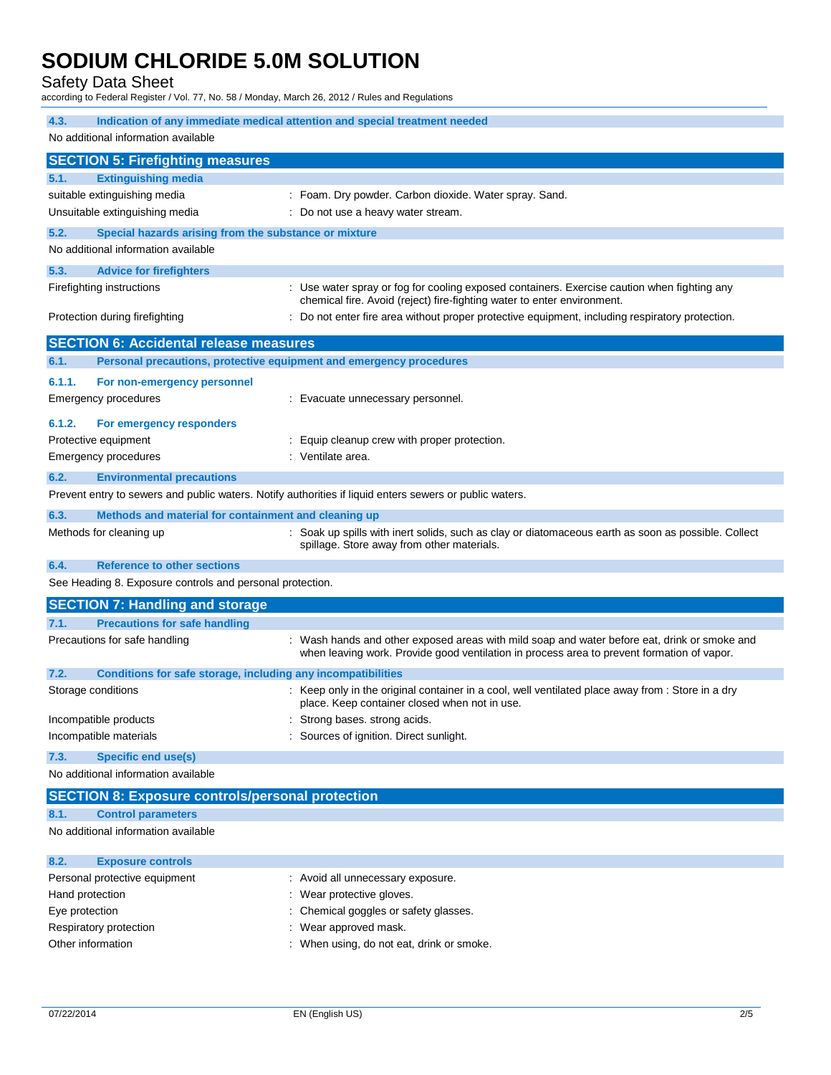#### Safety Data Sheet

according to Federal Register / Vol. 77, No. 58 / Monday, March 26, 2012 / Rules and Regulations

| 4.3.<br>Indication of any immediate medical attention and special treatment needed                      |                                                                                                                                                                                            |  |  |
|---------------------------------------------------------------------------------------------------------|--------------------------------------------------------------------------------------------------------------------------------------------------------------------------------------------|--|--|
| No additional information available                                                                     |                                                                                                                                                                                            |  |  |
| <b>SECTION 5: Firefighting measures</b>                                                                 |                                                                                                                                                                                            |  |  |
| 5.1.<br><b>Extinguishing media</b>                                                                      |                                                                                                                                                                                            |  |  |
| suitable extinguishing media                                                                            | : Foam. Dry powder. Carbon dioxide. Water spray. Sand.                                                                                                                                     |  |  |
| Unsuitable extinguishing media                                                                          | : Do not use a heavy water stream.                                                                                                                                                         |  |  |
| 5.2.<br>Special hazards arising from the substance or mixture                                           |                                                                                                                                                                                            |  |  |
| No additional information available                                                                     |                                                                                                                                                                                            |  |  |
| 5.3.<br><b>Advice for firefighters</b>                                                                  |                                                                                                                                                                                            |  |  |
| Firefighting instructions                                                                               | : Use water spray or fog for cooling exposed containers. Exercise caution when fighting any<br>chemical fire. Avoid (reject) fire-fighting water to enter environment.                     |  |  |
| Protection during firefighting                                                                          | : Do not enter fire area without proper protective equipment, including respiratory protection.                                                                                            |  |  |
| <b>SECTION 6: Accidental release measures</b>                                                           |                                                                                                                                                                                            |  |  |
| Personal precautions, protective equipment and emergency procedures<br>6.1.                             |                                                                                                                                                                                            |  |  |
| 6.1.1.<br>For non-emergency personnel                                                                   |                                                                                                                                                                                            |  |  |
| Emergency procedures                                                                                    | : Evacuate unnecessary personnel.                                                                                                                                                          |  |  |
| 6.1.2.<br>For emergency responders                                                                      |                                                                                                                                                                                            |  |  |
| Protective equipment                                                                                    | Equip cleanup crew with proper protection.                                                                                                                                                 |  |  |
| <b>Emergency procedures</b>                                                                             | : Ventilate area.                                                                                                                                                                          |  |  |
| 6.2.<br><b>Environmental precautions</b>                                                                |                                                                                                                                                                                            |  |  |
| Prevent entry to sewers and public waters. Notify authorities if liquid enters sewers or public waters. |                                                                                                                                                                                            |  |  |
| 6.3.<br>Methods and material for containment and cleaning up                                            |                                                                                                                                                                                            |  |  |
| Methods for cleaning up                                                                                 | : Soak up spills with inert solids, such as clay or diatomaceous earth as soon as possible. Collect<br>spillage. Store away from other materials.                                          |  |  |
| 6.4.<br><b>Reference to other sections</b>                                                              |                                                                                                                                                                                            |  |  |
| See Heading 8. Exposure controls and personal protection.                                               |                                                                                                                                                                                            |  |  |
| <b>SECTION 7: Handling and storage</b>                                                                  |                                                                                                                                                                                            |  |  |
| <b>Precautions for safe handling</b><br>7.1.                                                            |                                                                                                                                                                                            |  |  |
| Precautions for safe handling                                                                           | : Wash hands and other exposed areas with mild soap and water before eat, drink or smoke and<br>when leaving work. Provide good ventilation in process area to prevent formation of vapor. |  |  |
| 7.2.<br>Conditions for safe storage, including any incompatibilities                                    |                                                                                                                                                                                            |  |  |
| Storage conditions                                                                                      | : Keep only in the original container in a cool, well ventilated place away from : Store in a dry<br>place. Keep container closed when not in use.                                         |  |  |
| Incompatible products                                                                                   | Strong bases. strong acids.                                                                                                                                                                |  |  |
| Incompatible materials                                                                                  | : Sources of ignition. Direct sunlight.                                                                                                                                                    |  |  |
| 7.3.<br><b>Specific end use(s)</b>                                                                      |                                                                                                                                                                                            |  |  |
| No additional information available                                                                     |                                                                                                                                                                                            |  |  |
| <b>SECTION 8: Exposure controls/personal protection</b>                                                 |                                                                                                                                                                                            |  |  |
| <b>Control parameters</b><br>8.1.                                                                       |                                                                                                                                                                                            |  |  |
| No additional information available                                                                     |                                                                                                                                                                                            |  |  |

| 8.2.<br><b>Exposure controls</b> |                                           |
|----------------------------------|-------------------------------------------|
| Personal protective equipment    | : Avoid all unnecessary exposure.         |
| Hand protection                  | : Wear protective gloves.                 |
| Eye protection                   | : Chemical goggles or safety glasses.     |
| Respiratory protection           | : Wear approved mask.                     |
| Other information                | : When using, do not eat, drink or smoke. |
|                                  |                                           |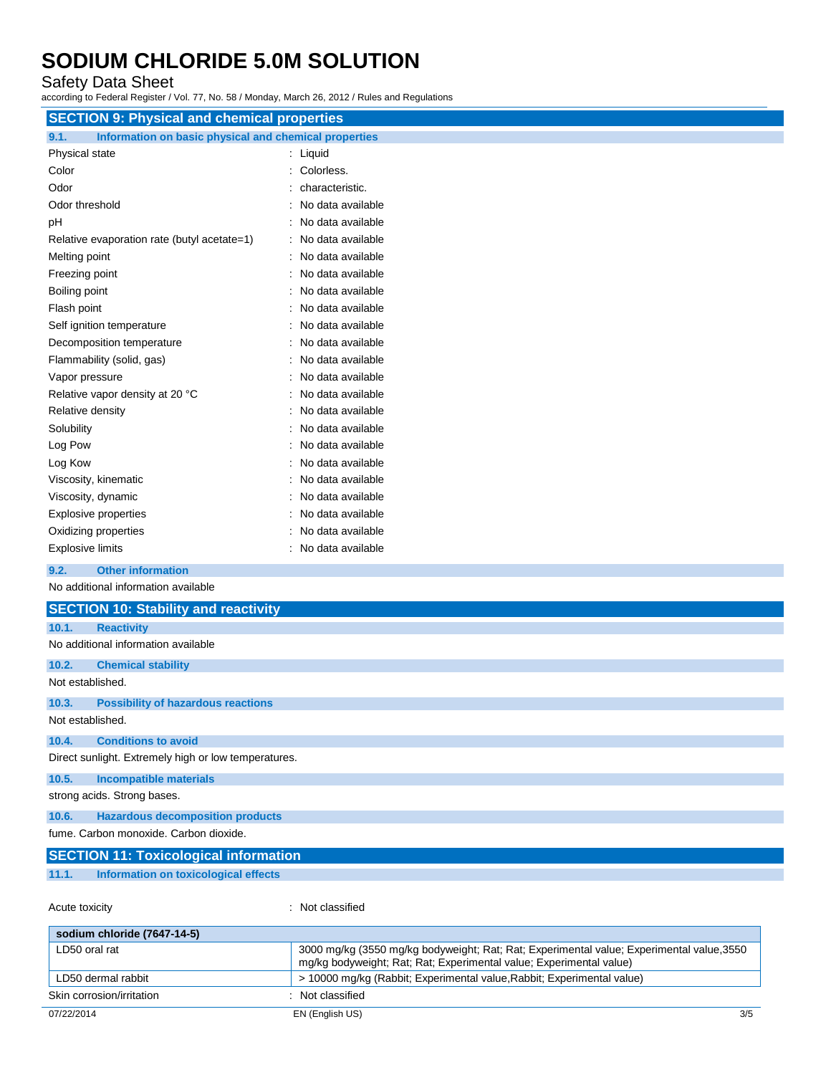#### Safety Data Sheet

according to Federal Register / Vol. 77, No. 58 / Monday, March 26, 2012 / Rules and Regulations

| <b>SECTION 9: Physical and chemical properties</b>            |                     |
|---------------------------------------------------------------|---------------------|
| Information on basic physical and chemical properties<br>9.1. |                     |
| Physical state                                                | : Liquid            |
| Color                                                         | : Colorless.        |
| Odor                                                          | characteristic.     |
| Odor threshold                                                | No data available   |
| pH                                                            | No data available   |
| Relative evaporation rate (butyl acetate=1)                   | : No data available |
| Melting point                                                 | : No data available |
| Freezing point                                                | : No data available |
| Boiling point                                                 | : No data available |
| Flash point                                                   | : No data available |
| Self ignition temperature                                     | No data available   |
| Decomposition temperature                                     | No data available   |
| Flammability (solid, gas)                                     | : No data available |
| Vapor pressure                                                | No data available   |
| Relative vapor density at 20 °C                               | : No data available |
| Relative density                                              | No data available   |
| Solubility                                                    | : No data available |
| Log Pow                                                       | No data available   |
| Log Kow                                                       | No data available   |
| Viscosity, kinematic                                          | : No data available |
| Viscosity, dynamic                                            | : No data available |
| <b>Explosive properties</b>                                   | No data available   |
| Oxidizing properties                                          | No data available   |
| <b>Explosive limits</b>                                       | : No data available |
| <b>Other information</b><br>9.2.                              |                     |
| No additional information available                           |                     |
| <b>SECTION 10: Stability and reactivity</b>                   |                     |
| 10.1.<br><b>Reactivity</b>                                    |                     |
| No additional information available                           |                     |
| 10.2.<br><b>Chemical stability</b>                            |                     |

#### Not established.

#### **10.3. Possibility of hazardous reactions** Not established.

**10.4. Conditions to avoid**

Direct sunlight. Extremely high or low temperatures.

### **10.5. Incompatible materials**

strong acids. Strong bases.

#### **10.6. Hazardous decomposition products**

fume. Carbon monoxide. Carbon dioxide.

|       | <b>SECTION 11: Toxicological information</b> |  |
|-------|----------------------------------------------|--|
| 11.1. | Information on toxicological effects         |  |
|       |                                              |  |

```
Acute toxicity in the case of the Case of the Case of the Case of the Case of the Case of the Case of the Case of the Case of the Case of the Case of the Case of the Case of the Case of the Case of the Case of the Case of
```

| sodium chloride (7647-14-5) |                                                                                                                                                                  |
|-----------------------------|------------------------------------------------------------------------------------------------------------------------------------------------------------------|
| LD50 oral rat               | 3000 mg/kg (3550 mg/kg bodyweight; Rat; Rat; Experimental value; Experimental value, 3550<br>mg/kg bodyweight; Rat; Rat; Experimental value; Experimental value) |
| LD50 dermal rabbit          | > 10000 mg/kg (Rabbit; Experimental value, Rabbit; Experimental value)                                                                                           |
| Skin corrosion/irritation   | Not classified                                                                                                                                                   |
| 07/22/2014                  | 3/5<br>EN (English US)                                                                                                                                           |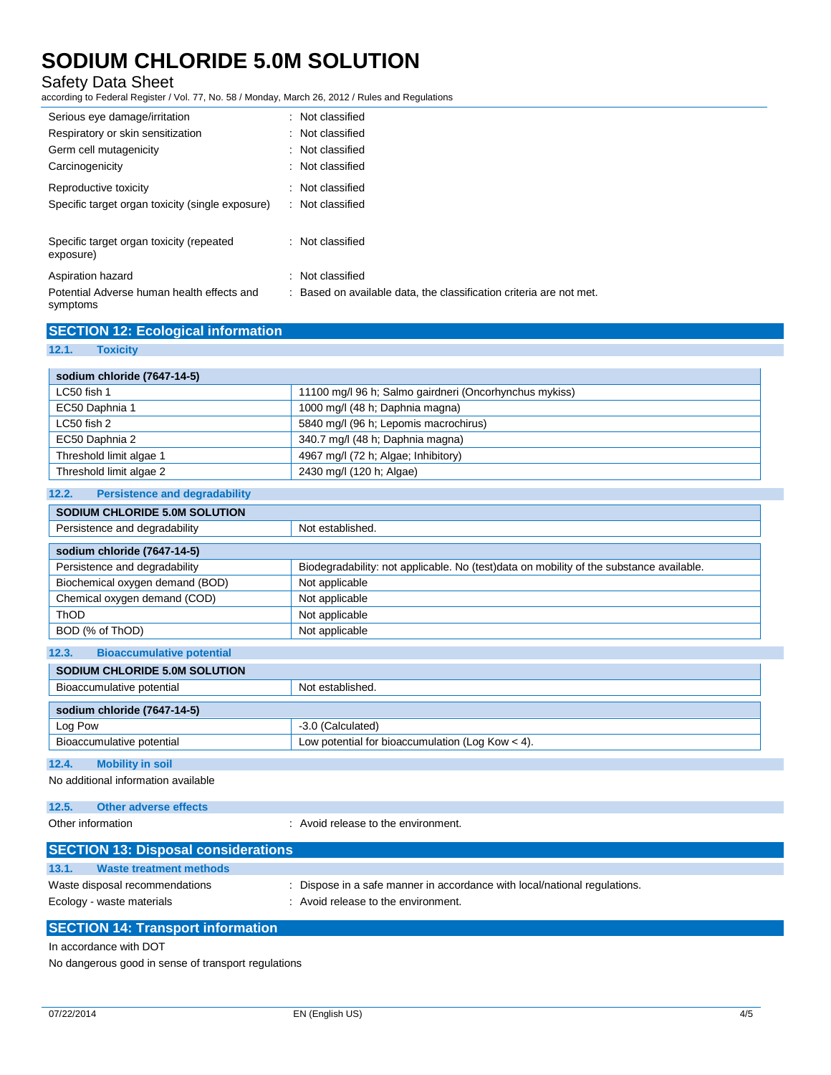### Safety Data Sheet

according to Federal Register / Vol. 77, No. 58 / Monday, March 26, 2012 / Rules and Regulations

| Serious eye damage/irritation                          | : Not classified                                                    |
|--------------------------------------------------------|---------------------------------------------------------------------|
| Respiratory or skin sensitization                      | : Not classified                                                    |
| Germ cell mutagenicity                                 | : Not classified                                                    |
| Carcinogenicity                                        | : Not classified                                                    |
| Reproductive toxicity                                  | : Not classified                                                    |
| Specific target organ toxicity (single exposure)       | : Not classified                                                    |
|                                                        |                                                                     |
| Specific target organ toxicity (repeated<br>exposure)  | : Not classified                                                    |
| Aspiration hazard                                      | : Not classified                                                    |
| Potential Adverse human health effects and<br>symptoms | : Based on available data, the classification criteria are not met. |

### **SECTION 12: Ecological information**

**12.1. Toxicity**

| sodium chloride (7647-14-5) |                                                        |
|-----------------------------|--------------------------------------------------------|
| LC50 fish 1                 | 11100 mg/l 96 h; Salmo gairdneri (Oncorhynchus mykiss) |
| EC50 Daphnia 1              | 1000 mg/l (48 h; Daphnia magna)                        |
| LC50 fish 2                 | 5840 mg/l (96 h; Lepomis macrochirus)                  |
| EC50 Daphnia 2              | 340.7 mg/l (48 h; Daphnia magna)                       |
| Threshold limit algae 1     | 4967 mg/l (72 h; Algae; Inhibitory)                    |
| Threshold limit algae 2     | 2430 mg/l (120 h; Algae)                               |

### **12.2. Persistence and degradability**

| <b>SODIUM CHLORIDE 5.0M SOLUTION</b>      |                                                                                         |  |
|-------------------------------------------|-----------------------------------------------------------------------------------------|--|
| Persistence and degradability             | Not established.                                                                        |  |
| sodium chloride (7647-14-5)               |                                                                                         |  |
| Persistence and degradability             | Biodegradability: not applicable. No (test)data on mobility of the substance available. |  |
| Biochemical oxygen demand (BOD)           | Not applicable                                                                          |  |
| Chemical oxygen demand (COD)              | Not applicable                                                                          |  |
| <b>ThOD</b>                               | Not applicable                                                                          |  |
| BOD (% of ThOD)                           | Not applicable                                                                          |  |
| 12.3.<br><b>Bioaccumulative potential</b> |                                                                                         |  |
| SODIUM CHI ORIDE 5.0M SOLUTION            |                                                                                         |  |

| <u>00010111 0112011102 0.0111 0020 11011</u> |                                                    |  |
|----------------------------------------------|----------------------------------------------------|--|
| Bioaccumulative potential                    | Not established.                                   |  |
| sodium chloride (7647-14-5)                  |                                                    |  |
| Log Pow                                      | -3.0 (Calculated)                                  |  |
| Bioaccumulative potential                    | Low potential for bioaccumulation (Log Kow $<$ 4). |  |
|                                              |                                                    |  |

#### **12.4. Mobility in soil**

No additional information available

| 12.5. | <b>Other adverse effects</b> |  |
|-------|------------------------------|--|
|       |                              |  |

Other information **contract to the environment.** The environment of the environment.

| <b>SECTION 13: Disposal considerations</b>                  |                                                                                                                |
|-------------------------------------------------------------|----------------------------------------------------------------------------------------------------------------|
| 13.1.<br>Waste treatment methods                            |                                                                                                                |
| Waste disposal recommendations<br>Ecology - waste materials | Dispose in a safe manner in accordance with local/national regulations.<br>: Avoid release to the environment. |
|                                                             |                                                                                                                |

### **SECTION 14: Transport information**

In accordance with DOT

No dangerous good in sense of transport regulations